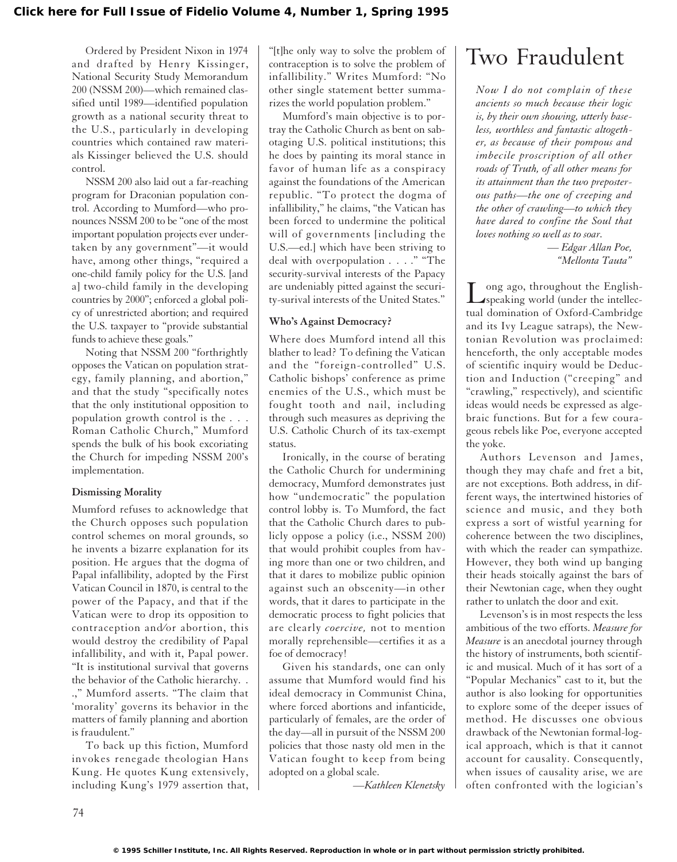Ordered by President Nixon in 1974 and drafted by Henry Kissinger, National Security Study Memorandum 200 (NSSM 200)—which remained classified until 1989—identified population growth as a national security threat to the U.S., particularly in developing countries which contained raw materials Kissinger believed the U.S. should control.

NSSM 200 also laid out a far-reaching program for Draconian population control. According to Mumford—who pronounces NSSM 200 to be "one of the most important population projects ever undertaken by any government"—it would have, among other things, "required a one-child family policy for the U.S. [and a] two-child family in the developing countries by 2000"; enforced a global policy of unrestricted abortion; and required the U.S. taxpayer to "provide substantial funds to achieve these goals."

Noting that NSSM 200 "forthrightly opposes the Vatican on population strategy, family planning, and abortion," and that the study "specifically notes that the only institutional opposition to population growth control is the . . . Roman Catholic Church," Mumford spends the bulk of his book excoriating the Church for impeding NSSM 200's implementation.

#### **Dismissing Morality**

Mumford refuses to acknowledge that the Church opposes such population control schemes on moral grounds, so he invents a bizarre explanation for its position. He argues that the dogma of Papal infallibility, adopted by the First Vatican Council in 1870, is central to the power of the Papacy, and that if the Vatican were to drop its opposition to contraception and⁄or abortion, this would destroy the credibility of Papal infallibility, and with it, Papal power. "It is institutional survival that governs the behavior of the Catholic hierarchy. . .," Mumford asserts. "The claim that 'morality' governs its behavior in the matters of family planning and abortion is fraudulent."

To back up this fiction, Mumford invokes renegade theologian Hans Kung. He quotes Kung extensively, including Kung's 1979 assertion that,

"[t]he only way to solve the problem of contraception is to solve the problem of infallibility." Writes Mumford: "No other single statement better summarizes the world population problem."

Mumford's main objective is to portray the Catholic Church as bent on sabotaging U.S. political institutions; this he does by painting its moral stance in favor of human life as a conspiracy against the foundations of the American republic. "To protect the dogma of infallibility," he claims, "the Vatican has been forced to undermine the political will of governments [including the U.S.—ed.] which have been striving to deal with overpopulation . . . ." "The security-survival interests of the Papacy are undeniably pitted against the security-surival interests of the United States."

#### **Who's Against Democracy?**

Where does Mumford intend all this blather to lead? To defining the Vatican and the "foreign-controlled" U.S. Catholic bishops' conference as prime enemies of the U.S., which must be fought tooth and nail, including through such measures as depriving the U.S. Catholic Church of its tax-exempt status.

Ironically, in the course of berating the Catholic Church for undermining democracy, Mumford demonstrates just how "undemocratic" the population control lobby is. To Mumford, the fact that the Catholic Church dares to publicly oppose a policy (i.e., NSSM 200) that would prohibit couples from having more than one or two children, and that it dares to mobilize public opinion against such an obscenity—in other words, that it dares to participate in the democratic process to fight policies that are clearly *coercive,* not to mention morally reprehensible—certifies it as a foe of democracy!

Given his standards, one can only assume that Mumford would find his ideal democracy in Communist China, where forced abortions and infanticide, particularly of females, are the order of the day—all in pursuit of the NSSM 200 policies that those nasty old men in the Vatican fought to keep from being adopted on a global scale.

*—Kathleen Klenetsky*

## Two Fraudulent

*Now I do not complain of these ancients so much because their logic is, by their own showing, utterly baseless, worthless and fantastic altogether, as because of their pompous and imbecile proscription of all other roads of Truth, of all other means for its attainment than the two preposterous paths—the one of creeping and the other of crawling—to which they have dared to confine the Soul that loves nothing so well as to soar.*

> *— Edgar Allan Poe, "Mellonta Tauta"*

Long ago, throughout the English-<br>speaking world (under the intellectual domination of Oxford-Cambridge and its Ivy League satraps), the Newtonian Revolution was proclaimed: henceforth, the only acceptable modes of scientific inquiry would be Deduction and Induction ("creeping" and "crawling," respectively), and scientific ideas would needs be expressed as algebraic functions. But for a few courageous rebels like Poe, everyone accepted the yoke.

Authors Levenson and James, though they may chafe and fret a bit, are not exceptions. Both address, in different ways, the intertwined histories of science and music, and they both express a sort of wistful yearning for coherence between the two disciplines, with which the reader can sympathize. However, they both wind up banging their heads stoically against the bars of their Newtonian cage, when they ought rather to unlatch the door and exit.

Levenson's is in most respects the less ambitious of the two efforts. *Measure for Measure* is an anecdotal journey through the history of instruments, both scientific and musical. Much of it has sort of a "Popular Mechanics" cast to it, but the author is also looking for opportunities to explore some of the deeper issues of method. He discusses one obvious drawback of the Newtonian formal-logical approach, which is that it cannot account for causality. Consequently, when issues of causality arise, we are often confronted with the logician's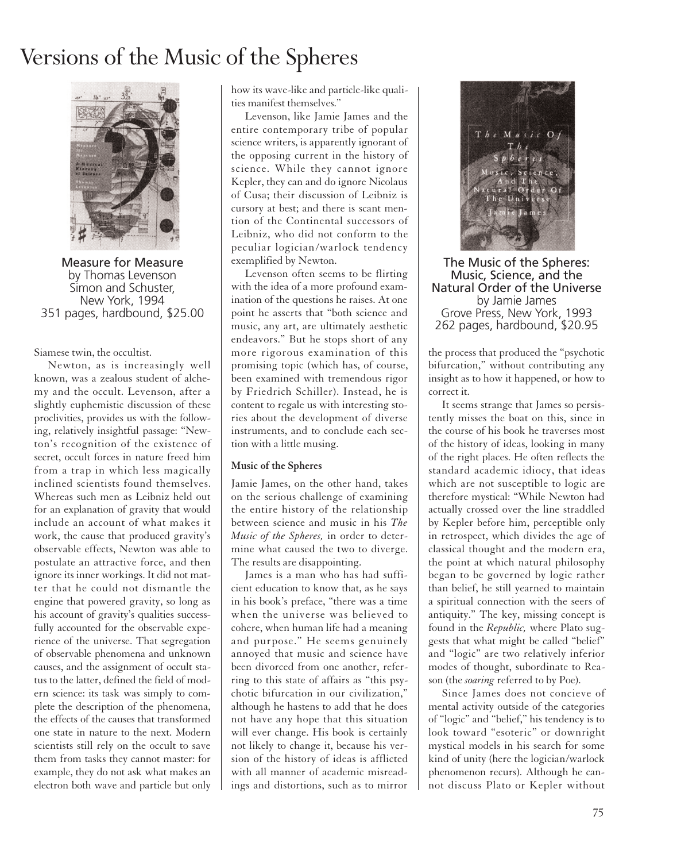## Versions of the Music of the Spheres



Measure for Measure by Thomas Levenson Simon and Schuster, New York, 1994 351 pages, hardbound, \$25.00

#### Siamese twin, the occultist.

Newton, as is increasingly well known, was a zealous student of alchemy and the occult. Levenson, after a slightly euphemistic discussion of these proclivities, provides us with the following, relatively insightful passage: "Newton's recognition of the existence of secret, occult forces in nature freed him from a trap in which less magically inclined scientists found themselves. Whereas such men as Leibniz held out for an explanation of gravity that would include an account of what makes it work, the cause that produced gravity's observable effects, Newton was able to postulate an attractive force, and then ignore its inner workings. It did not matter that he could not dismantle the engine that powered gravity, so long as his account of gravity's qualities successfully accounted for the observable experience of the universe. That segregation of observable phenomena and unknown causes, and the assignment of occult status to the latter, defined the field of modern science: its task was simply to complete the description of the phenomena, the effects of the causes that transformed one state in nature to the next. Modern scientists still rely on the occult to save them from tasks they cannot master: for example, they do not ask what makes an electron both wave and particle but only

how its wave-like and particle-like qualities manifest themselves."

Levenson, like Jamie James and the entire contemporary tribe of popular science writers, is apparently ignorant of the opposing current in the history of science. While they cannot ignore Kepler, they can and do ignore Nicolaus of Cusa; their discussion of Leibniz is cursory at best; and there is scant mention of the Continental successors of Leibniz, who did not conform to the peculiar logician/warlock tendency exemplified by Newton.

Levenson often seems to be flirting with the idea of a more profound examination of the questions he raises. At one point he asserts that "both science and music, any art, are ultimately aesthetic endeavors." But he stops short of any more rigorous examination of this promising topic (which has, of course, been examined with tremendous rigor by Friedrich Schiller). Instead, he is content to regale us with interesting stories about the development of diverse instruments, and to conclude each section with a little musing.

#### **Music of the Spheres**

Jamie James, on the other hand, takes on the serious challenge of examining the entire history of the relationship between science and music in his *The Music of the Spheres,* in order to determine what caused the two to diverge. The results are disappointing.

James is a man who has had sufficient education to know that, as he says in his book's preface, "there was a time when the universe was believed to cohere, when human life had a meaning and purpose." He seems genuinely annoyed that music and science have been divorced from one another, referring to this state of affairs as "this psychotic bifurcation in our civilization," although he hastens to add that he does not have any hope that this situation will ever change. His book is certainly not likely to change it, because his version of the history of ideas is afflicted with all manner of academic misreadings and distortions, such as to mirror



The Music of the Spheres: Music, Science, and the Natural Order of the Universe by Jamie James Grove Press, New York, 1993 262 pages, hardbound, \$20.95

the process that produced the "psychotic bifurcation," without contributing any insight as to how it happened, or how to correct it.

It seems strange that James so persistently misses the boat on this, since in the course of his book he traverses most of the history of ideas, looking in many of the right places. He often reflects the standard academic idiocy, that ideas which are not susceptible to logic are therefore mystical: "While Newton had actually crossed over the line straddled by Kepler before him, perceptible only in retrospect, which divides the age of classical thought and the modern era, the point at which natural philosophy began to be governed by logic rather than belief, he still yearned to maintain a spiritual connection with the seers of antiquity." The key, missing concept is found in the *Republic,* where Plato suggests that what might be called "belief" and "logic" are two relatively inferior modes of thought, subordinate to Reason (the *soaring* referred to by Poe).

Since James does not concieve of mental activity outside of the categories of "logic" and "belief," his tendency is to look toward "esoteric" or downright mystical models in his search for some kind of unity (here the logician/warlock phenomenon recurs). Although he cannot discuss Plato or Kepler without